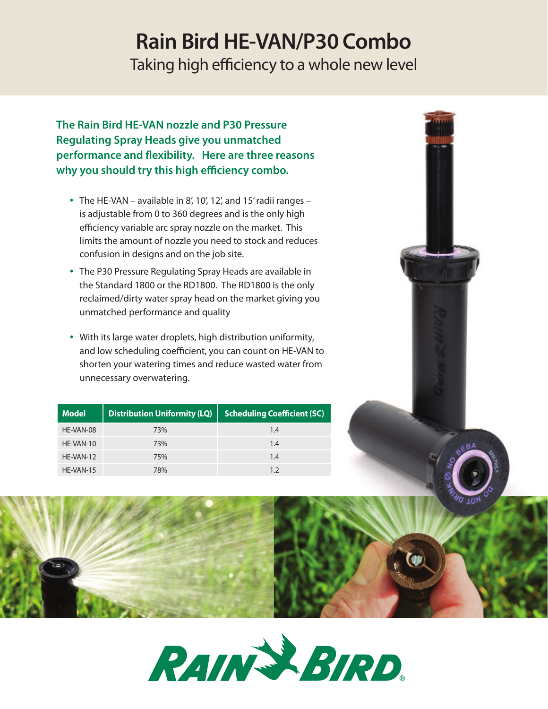# **Rain Bird HE-VAN/P30 Combo**

Taking high efficiency to a whole new level

**The Rain Bird HE-VAN nozzle and P30 Pressure Regulating Spray Heads give you unmatched performance and flexibility. Here are three reasons why you should try this high efficiency combo.**

- The HE-VAN available in 8', 10', 12', and 15' radii ranges is adjustable from 0 to 360 degrees and is the only high efficiency variable arc spray nozzle on the market. This limits the amount of nozzle you need to stock and reduces confusion in designs and on the job site.
- The P30 Pressure Regulating Spray Heads are available in the Standard 1800 or the RD1800. The RD1800 is the only reclaimed/dirty water spray head on the market giving you unmatched performance and quality
- With its large water droplets, high distribution uniformity, and low scheduling coefficient, you can count on HE-VAN to shorten your watering times and reduce wasted water from unnecessary overwatering.

| <b>Model</b> | <b>Distribution Uniformity (LQ)</b> | <b>Scheduling Coefficient (SC)</b> |
|--------------|-------------------------------------|------------------------------------|
| HE-VAN-08    | 73%                                 | 1.4                                |
| HE-VAN-10    | 73%                                 | 1.4                                |
| HF-VAN-12    | 75%                                 | 1.4                                |
| HE-VAN-15    | 78%                                 | 17                                 |